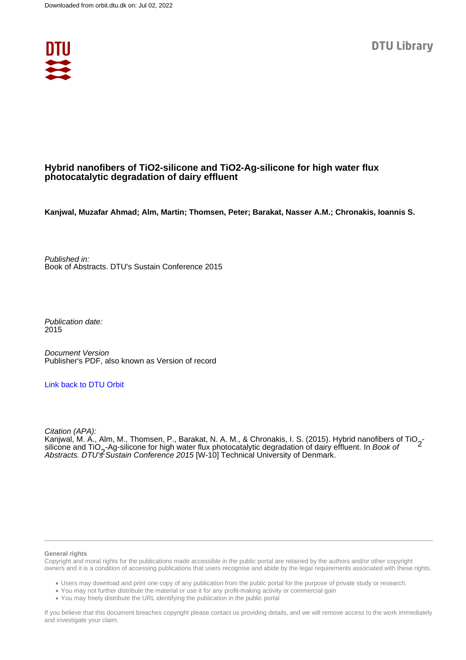

## **Hybrid nanofibers of TiO2-silicone and TiO2-Ag-silicone for high water flux photocatalytic degradation of dairy effluent**

**Kanjwal, Muzafar Ahmad; Alm, Martin; Thomsen, Peter; Barakat, Nasser A.M.; Chronakis, Ioannis S.**

Published in: Book of Abstracts. DTU's Sustain Conference 2015

Publication date: 2015

Document Version Publisher's PDF, also known as Version of record

### [Link back to DTU Orbit](https://orbit.dtu.dk/en/publications/d1086cc2-e761-4cc5-9878-ea0d88dcb3bb)

Citation (APA): Kanjwal, M. A., Alm, M., Thomsen, P., Barakat, N. A. M., & Chronakis, I. S. (2015). Hybrid nanofibers of TiO<sub>2</sub>-<br>silicone and TiO -Ag-silicone for bigh water flux photocatalytic degradation of dairy effluent. In *Book of* silicone and TiO<sub>2</sub>-Ag-silicone for high water flux photocatalytic degradation of dairy effluent. In *Book of*<br>Abstracts, DTU'<del>S</del> Sustain Conference 2015 [W-10] Technical University of Denmark Abstracts. DTU's Sustain Conference 2015 [W-10] Technical University of Denmark.

#### **General rights**

Copyright and moral rights for the publications made accessible in the public portal are retained by the authors and/or other copyright owners and it is a condition of accessing publications that users recognise and abide by the legal requirements associated with these rights.

Users may download and print one copy of any publication from the public portal for the purpose of private study or research.

- You may not further distribute the material or use it for any profit-making activity or commercial gain
- You may freely distribute the URL identifying the publication in the public portal

If you believe that this document breaches copyright please contact us providing details, and we will remove access to the work immediately and investigate your claim.